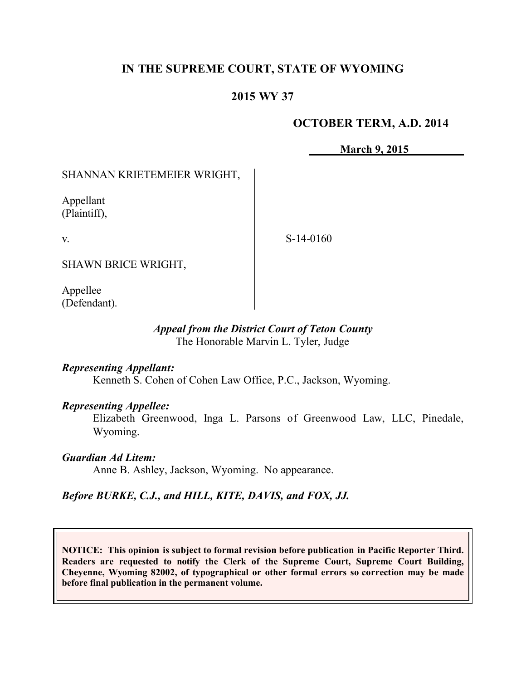# **IN THE SUPREME COURT, STATE OF WYOMING**

# **2015 WY 37**

### **OCTOBER TERM, A.D. 2014**

**March 9, 2015**

## SHANNAN KRIETEMEIER WRIGHT,

Appellant (Plaintiff),

v.

S-14-0160

SHAWN BRICE WRIGHT,

Appellee (Defendant).

#### *Appeal from the District Court of Teton County* The Honorable Marvin L. Tyler, Judge

#### *Representing Appellant:*

Kenneth S. Cohen of Cohen Law Office, P.C., Jackson, Wyoming.

#### *Representing Appellee:*

Elizabeth Greenwood, Inga L. Parsons of Greenwood Law, LLC, Pinedale, Wyoming.

#### *Guardian Ad Litem:*

Anne B. Ashley, Jackson, Wyoming. No appearance.

## *Before BURKE, C.J., and HILL, KITE, DAVIS, and FOX, JJ.*

**NOTICE: This opinion is subject to formal revision before publication in Pacific Reporter Third. Readers are requested to notify the Clerk of the Supreme Court, Supreme Court Building, Cheyenne, Wyoming 82002, of typographical or other formal errors so correction may be made before final publication in the permanent volume.**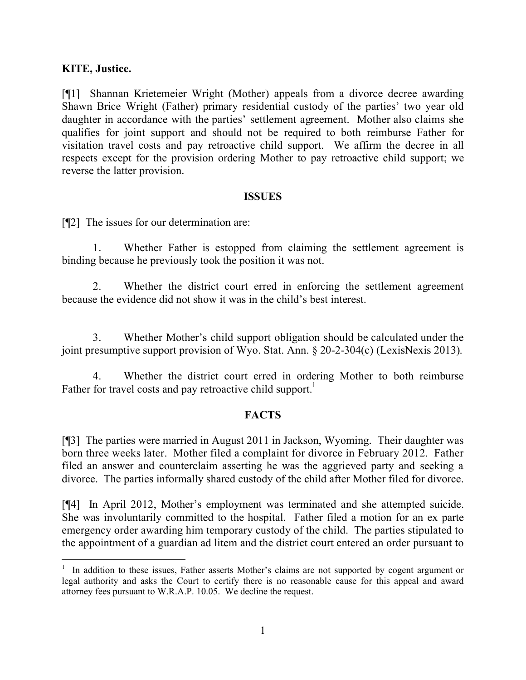### **KITE, Justice.**

[¶1] Shannan Krietemeier Wright (Mother) appeals from a divorce decree awarding Shawn Brice Wright (Father) primary residential custody of the parties' two year old daughter in accordance with the parties' settlement agreement. Mother also claims she qualifies for joint support and should not be required to both reimburse Father for visitation travel costs and pay retroactive child support. We affirm the decree in all respects except for the provision ordering Mother to pay retroactive child support; we reverse the latter provision.

#### **ISSUES**

[¶2] The issues for our determination are:

1. Whether Father is estopped from claiming the settlement agreement is binding because he previously took the position it was not.

2. Whether the district court erred in enforcing the settlement agreement because the evidence did not show it was in the child's best interest.

3. Whether Mother's child support obligation should be calculated under the joint presumptive support provision of Wyo. Stat. Ann. § 20-2-304(c) (LexisNexis 2013).

4. Whether the district court erred in ordering Mother to both reimburse Father for travel costs and pay retroactive child support.<sup>1</sup>

## **FACTS**

[¶3] The parties were married in August 2011 in Jackson, Wyoming. Their daughter was born three weeks later. Mother filed a complaint for divorce in February 2012. Father filed an answer and counterclaim asserting he was the aggrieved party and seeking a divorce. The parties informally shared custody of the child after Mother filed for divorce.

[¶4] In April 2012, Mother's employment was terminated and she attempted suicide. She was involuntarily committed to the hospital. Father filed a motion for an ex parte emergency order awarding him temporary custody of the child. The parties stipulated to the appointment of a guardian ad litem and the district court entered an order pursuant to

<sup>&</sup>lt;sup>1</sup> In addition to these issues, Father asserts Mother's claims are not supported by cogent argument or legal authority and asks the Court to certify there is no reasonable cause for this appeal and award attorney fees pursuant to W.R.A.P. 10.05. We decline the request.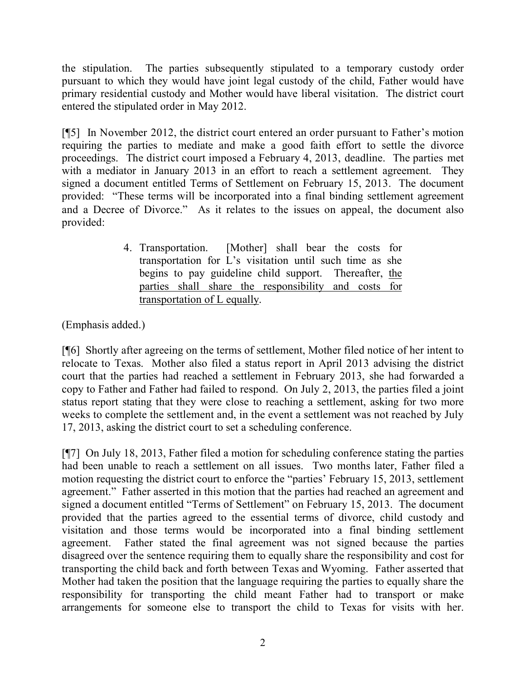the stipulation. The parties subsequently stipulated to a temporary custody order pursuant to which they would have joint legal custody of the child, Father would have primary residential custody and Mother would have liberal visitation. The district court entered the stipulated order in May 2012.

[¶5] In November 2012, the district court entered an order pursuant to Father's motion requiring the parties to mediate and make a good faith effort to settle the divorce proceedings. The district court imposed a February 4, 2013, deadline. The parties met with a mediator in January 2013 in an effort to reach a settlement agreement. They signed a document entitled Terms of Settlement on February 15, 2013. The document provided: "These terms will be incorporated into a final binding settlement agreement and a Decree of Divorce." As it relates to the issues on appeal, the document also provided:

> 4. Transportation. [Mother] shall bear the costs for transportation for L's visitation until such time as she begins to pay guideline child support. Thereafter, the parties shall share the responsibility and costs for transportation of L equally.

(Emphasis added.)

[¶6] Shortly after agreeing on the terms of settlement, Mother filed notice of her intent to relocate to Texas. Mother also filed a status report in April 2013 advising the district court that the parties had reached a settlement in February 2013, she had forwarded a copy to Father and Father had failed to respond. On July 2, 2013, the parties filed a joint status report stating that they were close to reaching a settlement, asking for two more weeks to complete the settlement and, in the event a settlement was not reached by July 17, 2013, asking the district court to set a scheduling conference.

[¶7] On July 18, 2013, Father filed a motion for scheduling conference stating the parties had been unable to reach a settlement on all issues. Two months later, Father filed a motion requesting the district court to enforce the "parties' February 15, 2013, settlement agreement." Father asserted in this motion that the parties had reached an agreement and signed a document entitled "Terms of Settlement" on February 15, 2013. The document provided that the parties agreed to the essential terms of divorce, child custody and visitation and those terms would be incorporated into a final binding settlement agreement. Father stated the final agreement was not signed because the parties disagreed over the sentence requiring them to equally share the responsibility and cost for transporting the child back and forth between Texas and Wyoming. Father asserted that Mother had taken the position that the language requiring the parties to equally share the responsibility for transporting the child meant Father had to transport or make arrangements for someone else to transport the child to Texas for visits with her.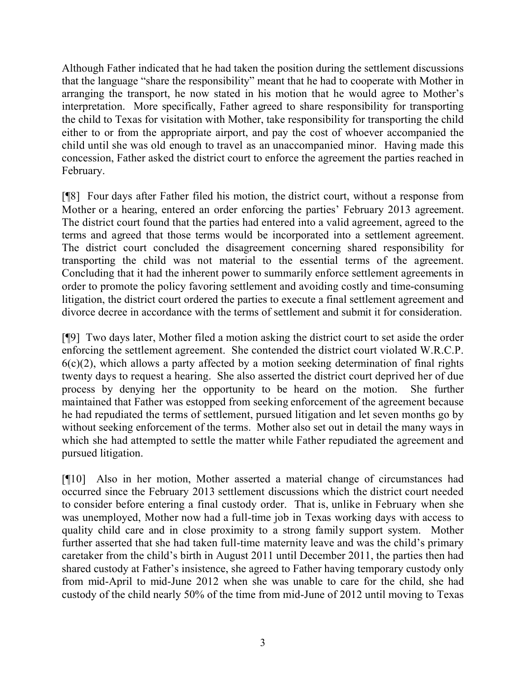Although Father indicated that he had taken the position during the settlement discussions that the language "share the responsibility" meant that he had to cooperate with Mother in arranging the transport, he now stated in his motion that he would agree to Mother's interpretation. More specifically, Father agreed to share responsibility for transporting the child to Texas for visitation with Mother, take responsibility for transporting the child either to or from the appropriate airport, and pay the cost of whoever accompanied the child until she was old enough to travel as an unaccompanied minor. Having made this concession, Father asked the district court to enforce the agreement the parties reached in February.

[¶8] Four days after Father filed his motion, the district court, without a response from Mother or a hearing, entered an order enforcing the parties' February 2013 agreement. The district court found that the parties had entered into a valid agreement, agreed to the terms and agreed that those terms would be incorporated into a settlement agreement. The district court concluded the disagreement concerning shared responsibility for transporting the child was not material to the essential terms of the agreement. Concluding that it had the inherent power to summarily enforce settlement agreements in order to promote the policy favoring settlement and avoiding costly and time-consuming litigation, the district court ordered the parties to execute a final settlement agreement and divorce decree in accordance with the terms of settlement and submit it for consideration.

[¶9] Two days later, Mother filed a motion asking the district court to set aside the order enforcing the settlement agreement. She contended the district court violated W.R.C.P.  $6(c)(2)$ , which allows a party affected by a motion seeking determination of final rights twenty days to request a hearing. She also asserted the district court deprived her of due process by denying her the opportunity to be heard on the motion. She further maintained that Father was estopped from seeking enforcement of the agreement because he had repudiated the terms of settlement, pursued litigation and let seven months go by without seeking enforcement of the terms. Mother also set out in detail the many ways in which she had attempted to settle the matter while Father repudiated the agreement and pursued litigation.

[¶10] Also in her motion, Mother asserted a material change of circumstances had occurred since the February 2013 settlement discussions which the district court needed to consider before entering a final custody order. That is, unlike in February when she was unemployed, Mother now had a full-time job in Texas working days with access to quality child care and in close proximity to a strong family support system. Mother further asserted that she had taken full-time maternity leave and was the child's primary caretaker from the child's birth in August 2011 until December 2011, the parties then had shared custody at Father's insistence, she agreed to Father having temporary custody only from mid-April to mid-June 2012 when she was unable to care for the child, she had custody of the child nearly 50% of the time from mid-June of 2012 until moving to Texas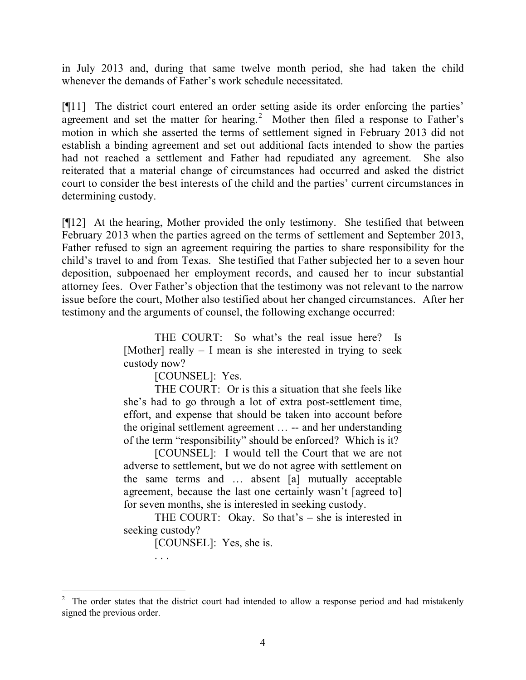in July 2013 and, during that same twelve month period, she had taken the child whenever the demands of Father's work schedule necessitated.

[¶11] The district court entered an order setting aside its order enforcing the parties' agreement and set the matter for hearing.<sup>2</sup> Mother then filed a response to Father's motion in which she asserted the terms of settlement signed in February 2013 did not establish a binding agreement and set out additional facts intended to show the parties had not reached a settlement and Father had repudiated any agreement. She also reiterated that a material change of circumstances had occurred and asked the district court to consider the best interests of the child and the parties' current circumstances in determining custody.

[¶12] At the hearing, Mother provided the only testimony. She testified that between February 2013 when the parties agreed on the terms of settlement and September 2013, Father refused to sign an agreement requiring the parties to share responsibility for the child's travel to and from Texas. She testified that Father subjected her to a seven hour deposition, subpoenaed her employment records, and caused her to incur substantial attorney fees. Over Father's objection that the testimony was not relevant to the narrow issue before the court, Mother also testified about her changed circumstances. After her testimony and the arguments of counsel, the following exchange occurred:

> THE COURT: So what's the real issue here? Is [Mother] really – I mean is she interested in trying to seek custody now?

> > [COUNSEL]: Yes.

THE COURT: Or is this a situation that she feels like she's had to go through a lot of extra post-settlement time, effort, and expense that should be taken into account before the original settlement agreement … -- and her understanding of the term "responsibility" should be enforced? Which is it?

[COUNSEL]: I would tell the Court that we are not adverse to settlement, but we do not agree with settlement on the same terms and … absent [a] mutually acceptable agreement, because the last one certainly wasn't [agreed to] for seven months, she is interested in seeking custody.

THE COURT: Okay. So that's – she is interested in seeking custody?

[COUNSEL]: Yes, she is.

. . .

<sup>2</sup> The order states that the district court had intended to allow a response period and had mistakenly signed the previous order.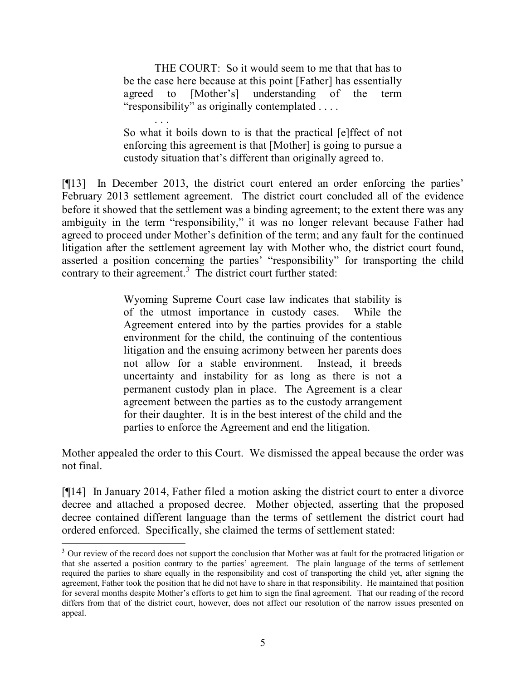THE COURT: So it would seem to me that that has to be the case here because at this point [Father] has essentially agreed to [Mother's] understanding of the term "responsibility" as originally contemplated . . . .

. . . So what it boils down to is that the practical [e]ffect of not enforcing this agreement is that [Mother] is going to pursue a custody situation that's different than originally agreed to.

[¶13] In December 2013, the district court entered an order enforcing the parties' February 2013 settlement agreement. The district court concluded all of the evidence before it showed that the settlement was a binding agreement; to the extent there was any ambiguity in the term "responsibility," it was no longer relevant because Father had agreed to proceed under Mother's definition of the term; and any fault for the continued litigation after the settlement agreement lay with Mother who, the district court found, asserted a position concerning the parties' "responsibility" for transporting the child contrary to their agreement. 3 The district court further stated:

> Wyoming Supreme Court case law indicates that stability is of the utmost importance in custody cases. While the Agreement entered into by the parties provides for a stable environment for the child, the continuing of the contentious litigation and the ensuing acrimony between her parents does not allow for a stable environment. Instead, it breeds uncertainty and instability for as long as there is not a permanent custody plan in place. The Agreement is a clear agreement between the parties as to the custody arrangement for their daughter. It is in the best interest of the child and the parties to enforce the Agreement and end the litigation.

Mother appealed the order to this Court. We dismissed the appeal because the order was not final.

[¶14] In January 2014, Father filed a motion asking the district court to enter a divorce decree and attached a proposed decree. Mother objected, asserting that the proposed decree contained different language than the terms of settlement the district court had ordered enforced. Specifically, she claimed the terms of settlement stated:

 $3$  Our review of the record does not support the conclusion that Mother was at fault for the protracted litigation or that she asserted a position contrary to the parties' agreement. The plain language of the terms of settlement required the parties to share equally in the responsibility and cost of transporting the child yet, after signing the agreement, Father took the position that he did not have to share in that responsibility. He maintained that position for several months despite Mother's efforts to get him to sign the final agreement. That our reading of the record differs from that of the district court, however, does not affect our resolution of the narrow issues presented on appeal.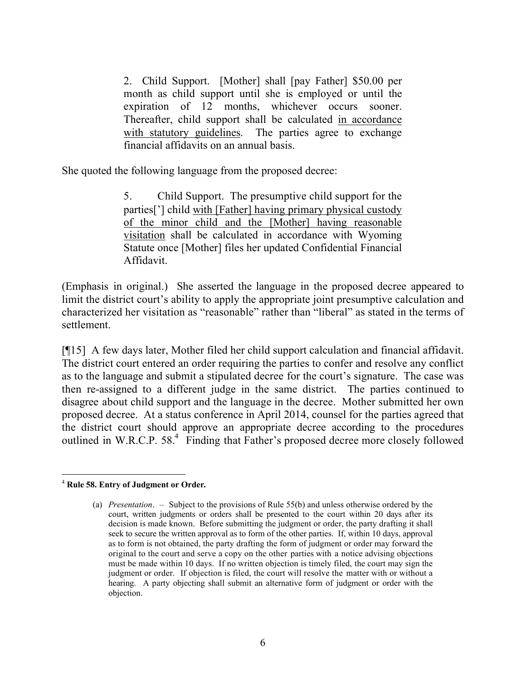2. Child Support. [Mother] shall [pay Father] \$50.00 per month as child support until she is employed or until the expiration of 12 months, whichever occurs sooner. Thereafter, child support shall be calculated in accordance with statutory guidelines. The parties agree to exchange financial affidavits on an annual basis.

She quoted the following language from the proposed decree:

5. Child Support. The presumptive child support for the parties['] child with [Father] having primary physical custody of the minor child and the [Mother] having reasonable visitation shall be calculated in accordance with Wyoming Statute once [Mother] files her updated Confidential Financial Affidavit.

(Emphasis in original.) She asserted the language in the proposed decree appeared to limit the district court's ability to apply the appropriate joint presumptive calculation and characterized her visitation as "reasonable" rather than "liberal" as stated in the terms of settlement.

[¶15] A few days later, Mother filed her child support calculation and financial affidavit. The district court entered an order requiring the parties to confer and resolve any conflict as to the language and submit a stipulated decree for the court's signature. The case was then re-assigned to a different judge in the same district. The parties continued to disagree about child support and the language in the decree. Mother submitted her own proposed decree. At a status conference in April 2014, counsel for the parties agreed that the district court should approve an appropriate decree according to the procedures outlined in W.R.C.P. 58.<sup>4</sup> Finding that Father's proposed decree more closely followed

 <sup>4</sup> **Rule 58. Entry of Judgment or Order.**

<sup>(</sup>a) *Presentation*. – Subject to the provisions of Rule 55(b) and unless otherwise ordered by the court, written judgments or orders shall be presented to the court within 20 days after its decision is made known. Before submitting the judgment or order, the party drafting it shall seek to secure the written approval as to form of the other parties. If, within 10 days, approval as to form is not obtained, the party drafting the form of judgment or order may forward the original to the court and serve a copy on the other parties with a notice advising objections must be made within 10 days. If no written objection is timely filed, the court may sign the judgment or order. If objection is filed, the court will resolve the matter with or without a hearing. A party objecting shall submit an alternative form of judgment or order with the objection.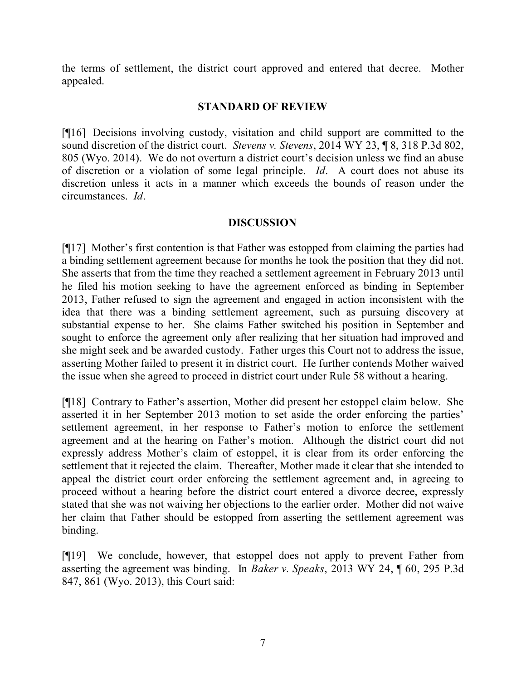the terms of settlement, the district court approved and entered that decree. Mother appealed.

### **STANDARD OF REVIEW**

[¶16] Decisions involving custody, visitation and child support are committed to the sound discretion of the district court. *Stevens v. Stevens*, 2014 WY 23, ¶ 8, 318 P.3d 802, 805 (Wyo. 2014). We do not overturn a district court's decision unless we find an abuse of discretion or a violation of some legal principle. *Id*. A court does not abuse its discretion unless it acts in a manner which exceeds the bounds of reason under the circumstances. *Id*.

### **DISCUSSION**

[¶17] Mother's first contention is that Father was estopped from claiming the parties had a binding settlement agreement because for months he took the position that they did not. She asserts that from the time they reached a settlement agreement in February 2013 until he filed his motion seeking to have the agreement enforced as binding in September 2013, Father refused to sign the agreement and engaged in action inconsistent with the idea that there was a binding settlement agreement, such as pursuing discovery at substantial expense to her. She claims Father switched his position in September and sought to enforce the agreement only after realizing that her situation had improved and she might seek and be awarded custody. Father urges this Court not to address the issue, asserting Mother failed to present it in district court. He further contends Mother waived the issue when she agreed to proceed in district court under Rule 58 without a hearing.

[¶18] Contrary to Father's assertion, Mother did present her estoppel claim below. She asserted it in her September 2013 motion to set aside the order enforcing the parties' settlement agreement, in her response to Father's motion to enforce the settlement agreement and at the hearing on Father's motion. Although the district court did not expressly address Mother's claim of estoppel, it is clear from its order enforcing the settlement that it rejected the claim. Thereafter, Mother made it clear that she intended to appeal the district court order enforcing the settlement agreement and, in agreeing to proceed without a hearing before the district court entered a divorce decree, expressly stated that she was not waiving her objections to the earlier order. Mother did not waive her claim that Father should be estopped from asserting the settlement agreement was binding.

[¶19] We conclude, however, that estoppel does not apply to prevent Father from asserting the agreement was binding. In *Baker v. Speaks*, 2013 WY 24, ¶ 60, 295 P.3d 847, 861 (Wyo. 2013), this Court said: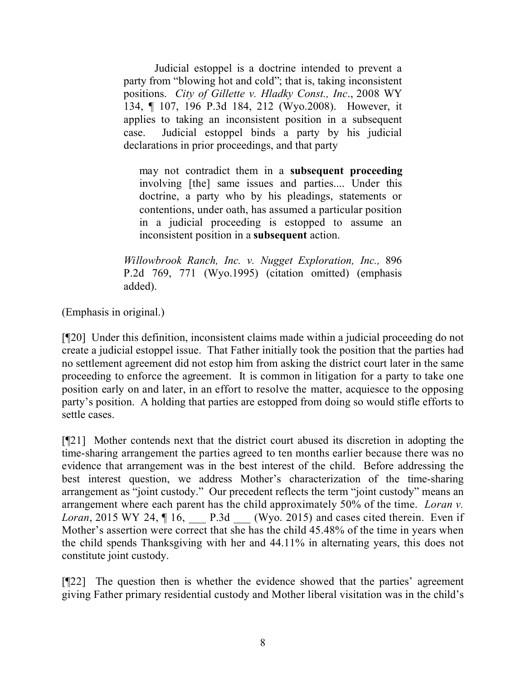Judicial estoppel is a doctrine intended to prevent a party from "blowing hot and cold"; that is, taking inconsistent positions. *City of Gillette v. Hladky Const., Inc*., 2008 WY 134, ¶ 107, 196 P.3d 184, 212 (Wyo.2008). However, it applies to taking an inconsistent position in a subsequent case. Judicial estoppel binds a party by his judicial declarations in prior proceedings, and that party

may not contradict them in a **subsequent proceeding** involving [the] same issues and parties.... Under this doctrine, a party who by his pleadings, statements or contentions, under oath, has assumed a particular position in a judicial proceeding is estopped to assume an inconsistent position in a **subsequent** action.

*Willowbrook Ranch, Inc. v. Nugget Exploration, Inc.,* 896 P.2d 769, 771 (Wyo.1995) (citation omitted) (emphasis added).

(Emphasis in original.)

[¶20] Under this definition, inconsistent claims made within a judicial proceeding do not create a judicial estoppel issue. That Father initially took the position that the parties had no settlement agreement did not estop him from asking the district court later in the same proceeding to enforce the agreement. It is common in litigation for a party to take one position early on and later, in an effort to resolve the matter, acquiesce to the opposing party's position. A holding that parties are estopped from doing so would stifle efforts to settle cases.

[¶21] Mother contends next that the district court abused its discretion in adopting the time-sharing arrangement the parties agreed to ten months earlier because there was no evidence that arrangement was in the best interest of the child. Before addressing the best interest question, we address Mother's characterization of the time-sharing arrangement as "joint custody." Our precedent reflects the term "joint custody" means an arrangement where each parent has the child approximately 50% of the time. *Loran v. Loran*, 2015 WY 24,  $\P$  16, P.3d (Wyo. 2015) and cases cited therein. Even if Mother's assertion were correct that she has the child 45.48% of the time in years when the child spends Thanksgiving with her and 44.11% in alternating years, this does not constitute joint custody.

[¶22] The question then is whether the evidence showed that the parties' agreement giving Father primary residential custody and Mother liberal visitation was in the child's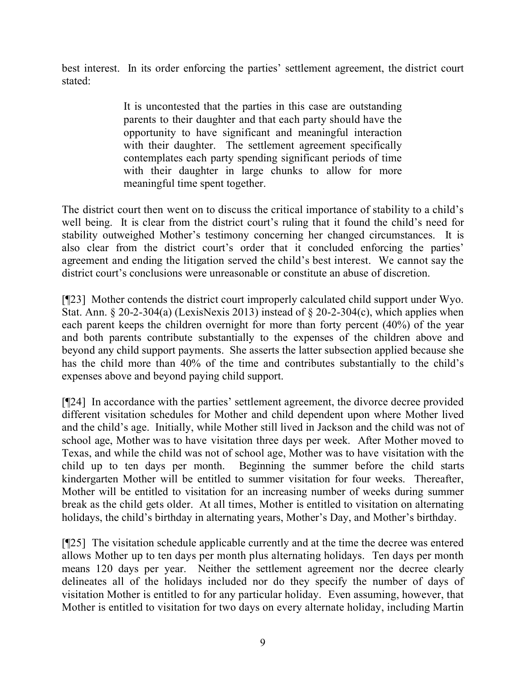best interest. In its order enforcing the parties' settlement agreement, the district court stated:

> It is uncontested that the parties in this case are outstanding parents to their daughter and that each party should have the opportunity to have significant and meaningful interaction with their daughter. The settlement agreement specifically contemplates each party spending significant periods of time with their daughter in large chunks to allow for more meaningful time spent together.

The district court then went on to discuss the critical importance of stability to a child's well being. It is clear from the district court's ruling that it found the child's need for stability outweighed Mother's testimony concerning her changed circumstances. It is also clear from the district court's order that it concluded enforcing the parties' agreement and ending the litigation served the child's best interest. We cannot say the district court's conclusions were unreasonable or constitute an abuse of discretion.

[¶23] Mother contends the district court improperly calculated child support under Wyo. Stat. Ann.  $\S 20-2-304(a)$  (LexisNexis 2013) instead of  $\S 20-2-304(c)$ , which applies when each parent keeps the children overnight for more than forty percent (40%) of the year and both parents contribute substantially to the expenses of the children above and beyond any child support payments. She asserts the latter subsection applied because she has the child more than 40% of the time and contributes substantially to the child's expenses above and beyond paying child support.

[¶24] In accordance with the parties' settlement agreement, the divorce decree provided different visitation schedules for Mother and child dependent upon where Mother lived and the child's age. Initially, while Mother still lived in Jackson and the child was not of school age, Mother was to have visitation three days per week. After Mother moved to Texas, and while the child was not of school age, Mother was to have visitation with the child up to ten days per month. Beginning the summer before the child starts kindergarten Mother will be entitled to summer visitation for four weeks. Thereafter, Mother will be entitled to visitation for an increasing number of weeks during summer break as the child gets older. At all times, Mother is entitled to visitation on alternating holidays, the child's birthday in alternating years, Mother's Day, and Mother's birthday.

[¶25] The visitation schedule applicable currently and at the time the decree was entered allows Mother up to ten days per month plus alternating holidays. Ten days per month means 120 days per year. Neither the settlement agreement nor the decree clearly delineates all of the holidays included nor do they specify the number of days of visitation Mother is entitled to for any particular holiday. Even assuming, however, that Mother is entitled to visitation for two days on every alternate holiday, including Martin